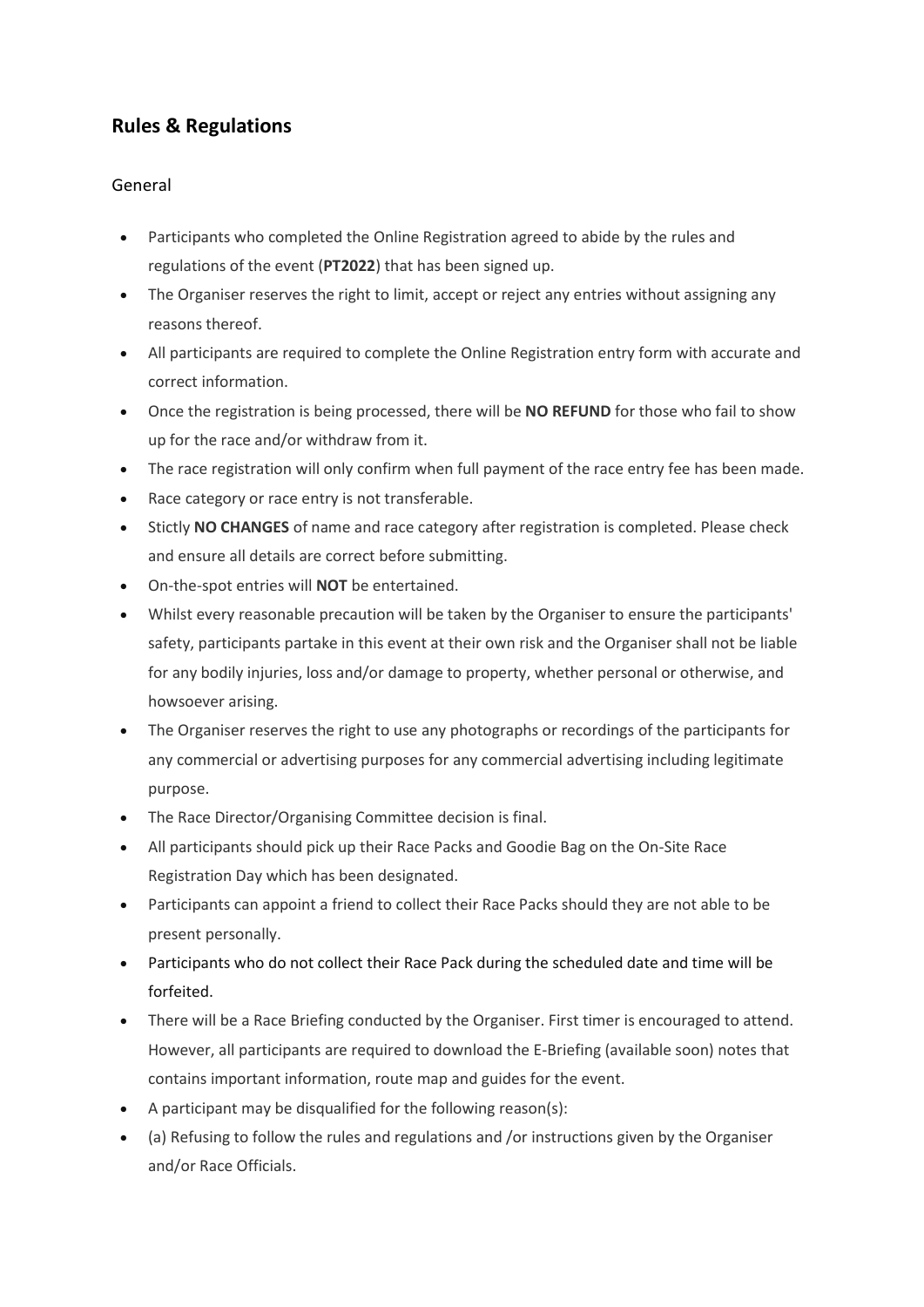# **Rules & Regulations**

# General

- Participants who completed the Online Registration agreed to abide by the rules and regulations of the event (**PT2022**) that has been signed up.
- The Organiser reserves the right to limit, accept or reject any entries without assigning any reasons thereof.
- All participants are required to complete the Online Registration entry form with accurate and correct information.
- Once the registration is being processed, there will be **NO REFUND** for those who fail to show up for the race and/or withdraw from it.
- The race registration will only confirm when full payment of the race entry fee has been made.
- Race category or race entry is not transferable.
- Stictly **NO CHANGES** of name and race category after registration is completed. Please check and ensure all details are correct before submitting.
- On-the-spot entries will **NOT** be entertained.
- Whilst every reasonable precaution will be taken by the Organiser to ensure the participants' safety, participants partake in this event at their own risk and the Organiser shall not be liable for any bodily injuries, loss and/or damage to property, whether personal or otherwise, and howsoever arising.
- The Organiser reserves the right to use any photographs or recordings of the participants for any commercial or advertising purposes for any commercial advertising including legitimate purpose.
- The Race Director/Organising Committee decision is final.
- All participants should pick up their Race Packs and Goodie Bag on the On-Site Race Registration Day which has been designated.
- Participants can appoint a friend to collect their Race Packs should they are not able to be present personally.
- Participants who do not collect their Race Pack during the scheduled date and time will be forfeited.
- There will be a Race Briefing conducted by the Organiser. First timer is encouraged to attend. However, all participants are required to download the E-Briefing (available soon) notes that contains important information, route map and guides for the event.
- A participant may be disqualified for the following reason(s):
- (a) Refusing to follow the rules and regulations and /or instructions given by the Organiser and/or Race Officials.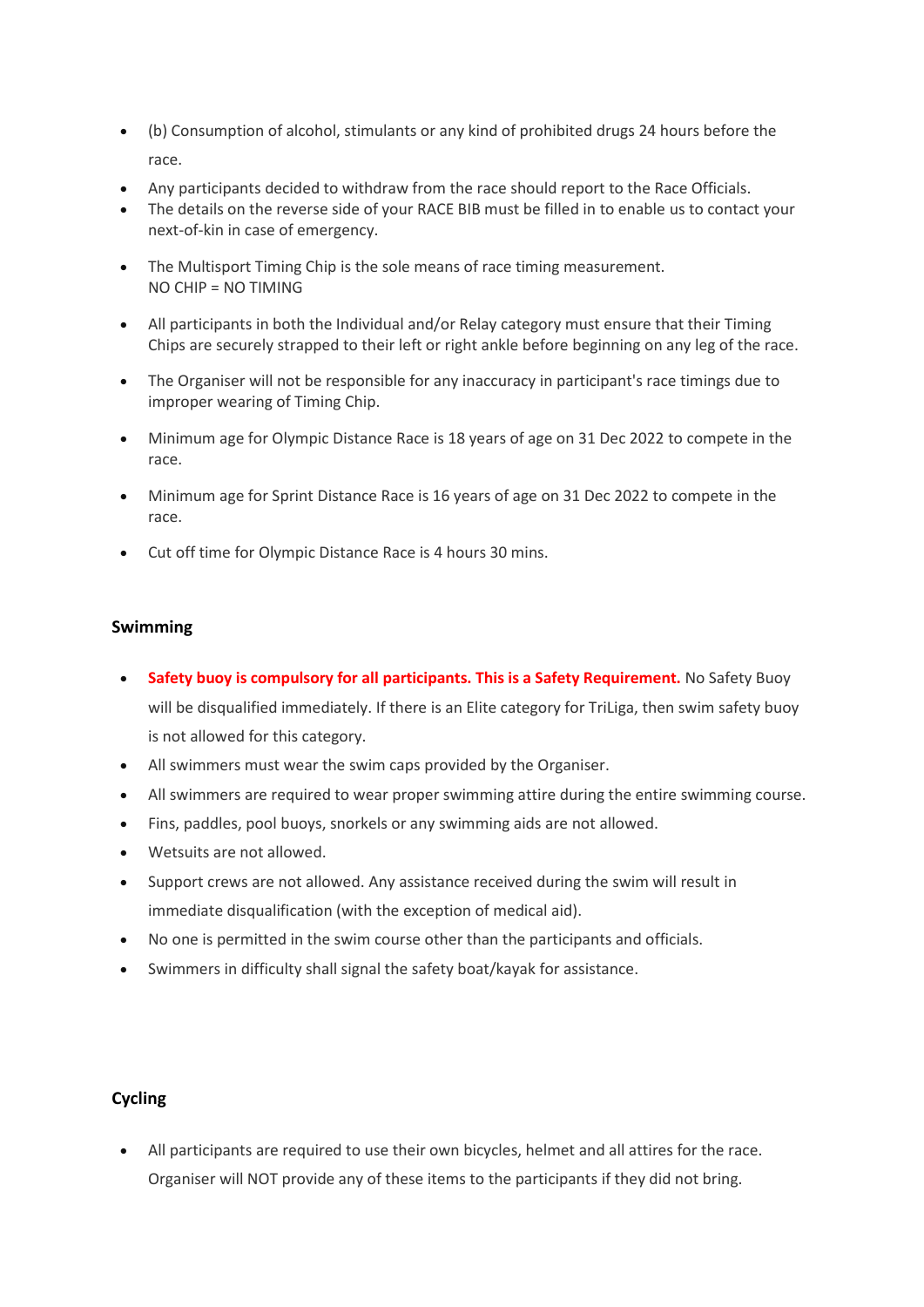- (b) Consumption of alcohol, stimulants or any kind of prohibited drugs 24 hours before the race.
- Any participants decided to withdraw from the race should report to the Race Officials.
- The details on the reverse side of your RACE BIB must be filled in to enable us to contact your next-of-kin in case of emergency.
- The Multisport Timing Chip is the sole means of race timing measurement. NO CHIP = NO TIMING
- All participants in both the Individual and/or Relay category must ensure that their Timing Chips are securely strapped to their left or right ankle before beginning on any leg of the race.
- The Organiser will not be responsible for any inaccuracy in participant's race timings due to improper wearing of Timing Chip.
- Minimum age for Olympic Distance Race is 18 years of age on 31 Dec 2022 to compete in the race.
- Minimum age for Sprint Distance Race is 16 years of age on 31 Dec 2022 to compete in the race.
- Cut off time for Olympic Distance Race is 4 hours 30 mins.

# **Swimming**

- **Safety buoy is compulsory for all participants. This is a Safety Requirement.** No Safety Buoy will be disqualified immediately. If there is an Elite category for TriLiga, then swim safety buoy is not allowed for this category.
- All swimmers must wear the swim caps provided by the Organiser.
- All swimmers are required to wear proper swimming attire during the entire swimming course.
- Fins, paddles, pool buoys, snorkels or any swimming aids are not allowed.
- Wetsuits are not allowed.
- Support crews are not allowed. Any assistance received during the swim will result in immediate disqualification (with the exception of medical aid).
- No one is permitted in the swim course other than the participants and officials.
- Swimmers in difficulty shall signal the safety boat/kayak for assistance.

# **Cycling**

• All participants are required to use their own bicycles, helmet and all attires for the race. Organiser will NOT provide any of these items to the participants if they did not bring.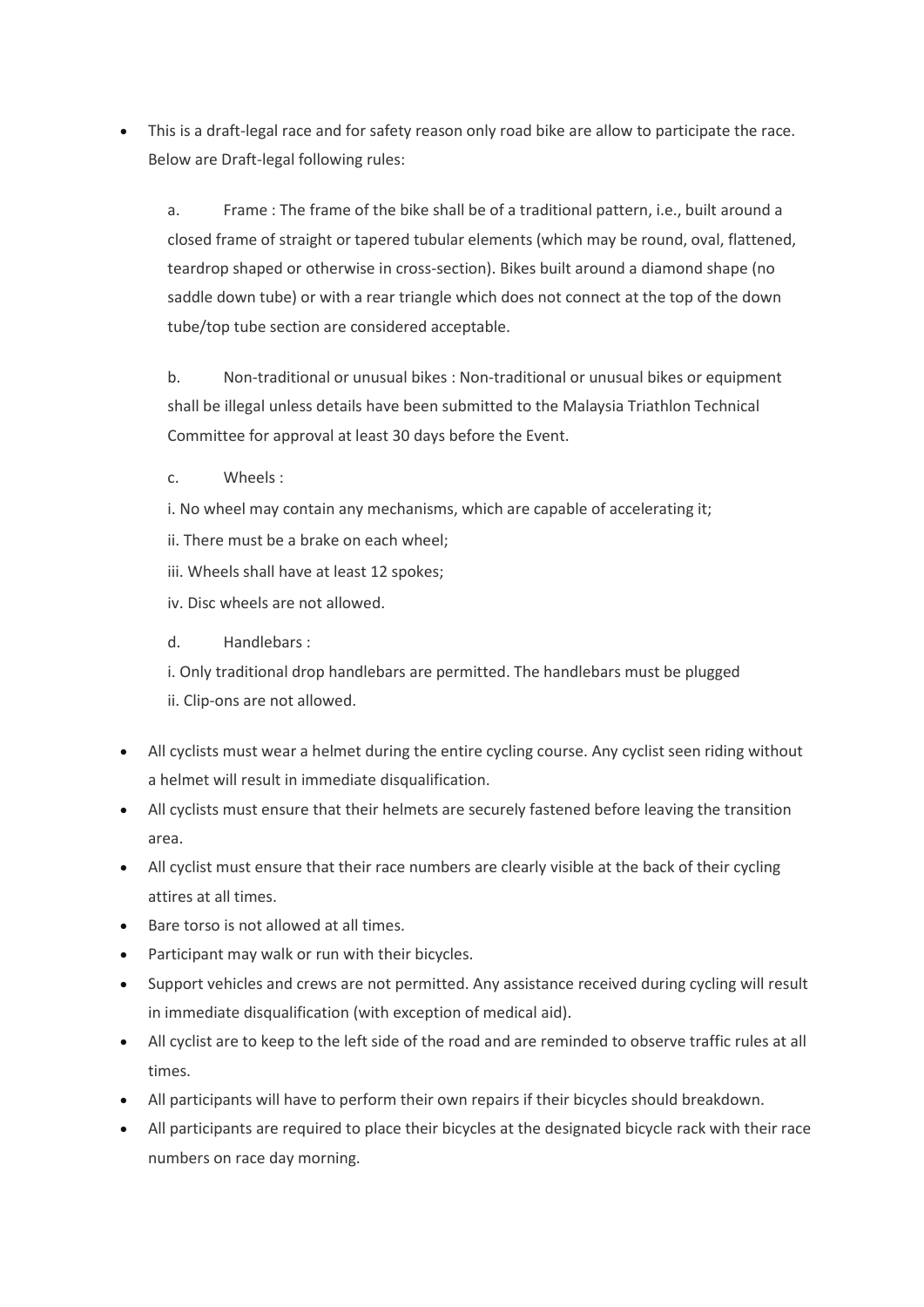• This is a draft-legal race and for safety reason only road bike are allow to participate the race. Below are Draft-legal following rules:

a. Frame : The frame of the bike shall be of a traditional pattern, i.e., built around a closed frame of straight or tapered tubular elements (which may be round, oval, flattened, teardrop shaped or otherwise in cross-section). Bikes built around a diamond shape (no saddle down tube) or with a rear triangle which does not connect at the top of the down tube/top tube section are considered acceptable.

b. Non-traditional or unusual bikes : Non-traditional or unusual bikes or equipment shall be illegal unless details have been submitted to the Malaysia Triathlon Technical Committee for approval at least 30 days before the Event.

c. Wheels :

i. No wheel may contain any mechanisms, which are capable of accelerating it;

- ii. There must be a brake on each wheel;
- iii. Wheels shall have at least 12 spokes;

iv. Disc wheels are not allowed.

d. Handlebars :

i. Only traditional drop handlebars are permitted. The handlebars must be plugged ii. Clip-ons are not allowed.

- All cyclists must wear a helmet during the entire cycling course. Any cyclist seen riding without a helmet will result in immediate disqualification.
- All cyclists must ensure that their helmets are securely fastened before leaving the transition area.
- All cyclist must ensure that their race numbers are clearly visible at the back of their cycling attires at all times.
- Bare torso is not allowed at all times.
- Participant may walk or run with their bicycles.
- Support vehicles and crews are not permitted. Any assistance received during cycling will result in immediate disqualification (with exception of medical aid).
- All cyclist are to keep to the left side of the road and are reminded to observe traffic rules at all times.
- All participants will have to perform their own repairs if their bicycles should breakdown.
- All participants are required to place their bicycles at the designated bicycle rack with their race numbers on race day morning.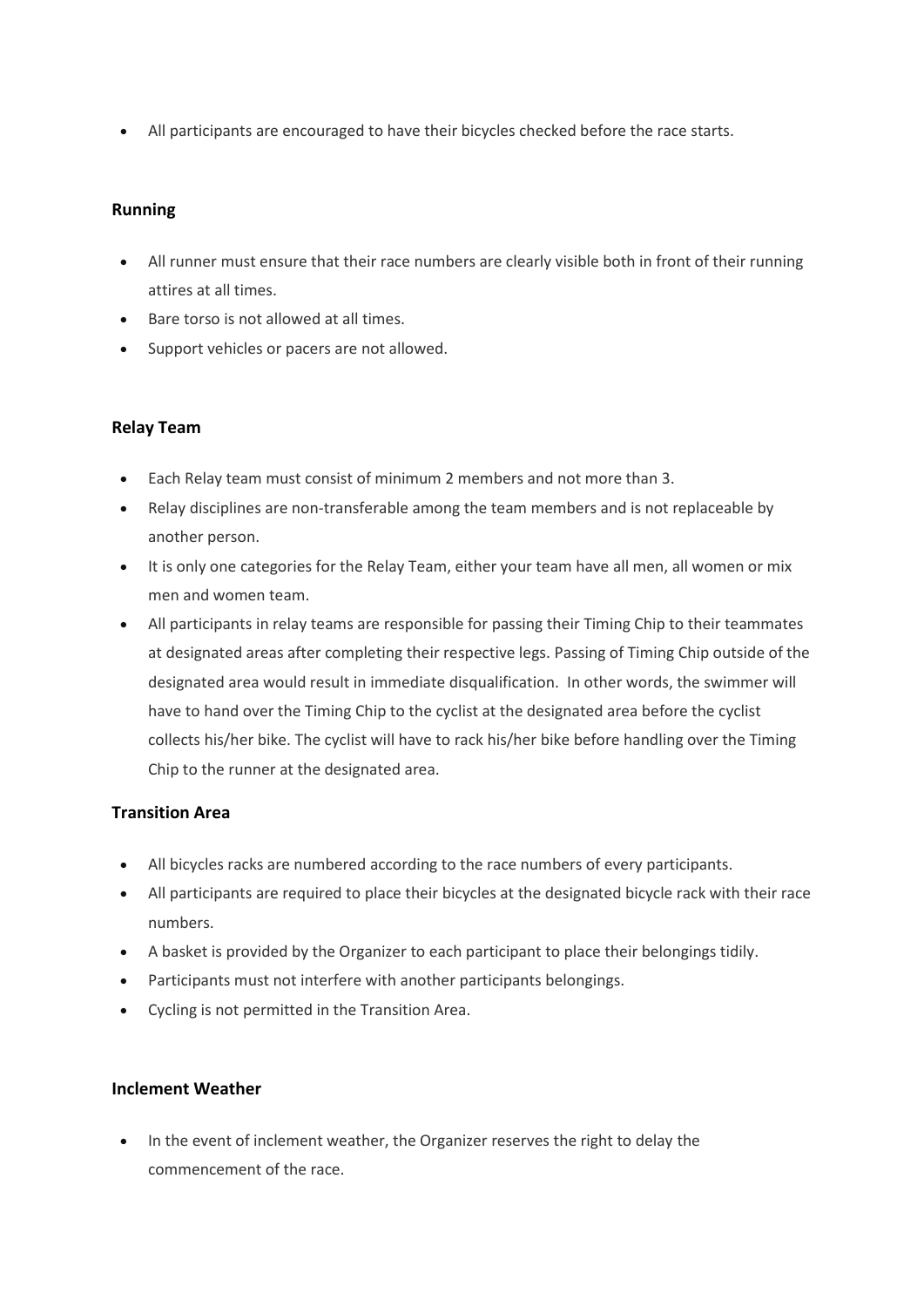• All participants are encouraged to have their bicycles checked before the race starts.

### **Running**

- All runner must ensure that their race numbers are clearly visible both in front of their running attires at all times.
- Bare torso is not allowed at all times.
- Support vehicles or pacers are not allowed.

#### **Relay Team**

- Each Relay team must consist of minimum 2 members and not more than 3.
- Relay disciplines are non-transferable among the team members and is not replaceable by another person.
- It is only one categories for the Relay Team, either your team have all men, all women or mix men and women team.
- All participants in relay teams are responsible for passing their Timing Chip to their teammates at designated areas after completing their respective legs. Passing of Timing Chip outside of the designated area would result in immediate disqualification. In other words, the swimmer will have to hand over the Timing Chip to the cyclist at the designated area before the cyclist collects his/her bike. The cyclist will have to rack his/her bike before handling over the Timing Chip to the runner at the designated area.

# **Transition Area**

- All bicycles racks are numbered according to the race numbers of every participants.
- All participants are required to place their bicycles at the designated bicycle rack with their race numbers.
- A basket is provided by the Organizer to each participant to place their belongings tidily.
- Participants must not interfere with another participants belongings.
- Cycling is not permitted in the Transition Area.

#### **Inclement Weather**

In the event of inclement weather, the Organizer reserves the right to delay the commencement of the race.